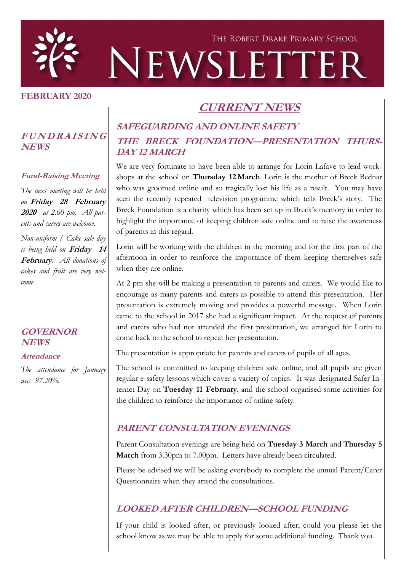

### **FEBRUARY 2020**

# **CURRENT NEWS**

## **<sup>F</sup> <sup>U</sup> <sup>N</sup> <sup>D</sup> <sup>R</sup> <sup>A</sup> <sup>I</sup> <sup>S</sup> <sup>I</sup> <sup>N</sup> <sup>G</sup> NEWS**

#### **Fund-Raising Meeting**

*The next meeting will be held on* **Friday 28 February 2020** *at 2.00 pm. All parents and carers are welcome.*

*Non-uniform / Cake sale day is being held on* **Friday 14 February.** *All donations of cakes and fruit are very welcome.*

#### **GOVERNOR NEWS**

#### **Attendance**

*The attendance for January was 97.20%.*

## **SAFEGUARDING AND ONLINE SAFETY THE BRECK FOUNDATION—PRESENTATION THURS-DAY 12 MARCH**

We are very fortunate to have been able to arrange for Lorin Lafave to lead workshops at the school on **Thursday 12 March**. Lorin is the mother of Breck Bednar who was groomed online and so tragically lost his life as a result. You may have seen the recently repeated television programme which tells Breck's story. The Breck Foundation is a charity which has been set up in Breck's memory in order to highlight the importance of keeping children safe online and to raise the awareness of parents in this regard.

Lorin will be working with the children in the morning and for the first part of the afternoon in order to reinforce the importance of them keeping themselves safe when they are online.

At 2 pm she will be making a presentation to parents and carers. We would like to encourage as many parents and carers as possible to attend this presentation. Her presentation is extremely moving and provides a powerful message. When Lorin came to the school in 2017 she had a significant impact. At the request of parents and carers who had not attended the first presentation, we arranged for Lorin to come back to the school to repeat her presentation.

The presentation is appropriate for parents and carers of pupils of all ages.

The school is committed to keeping children safe online, and all pupils are given regular e-safety lessons which cover a variety of topics. It was designated Safer Internet Day on **Tuesday 11 February**, and the school organised some activities for the children to reinforce the importance of online safety.

### **PARENT CONSULTATION EVENINGS**

Parent Consultation evenings are being held on **Tuesday 3 March** and **Thursday 5 March** from 3.30pm to 7.00pm. Letters have already been circulated.

Please be advised we will be asking everybody to complete the annual Parent/Carer Questionnaire when they attend the consultations.

### **LOOKED AFTER CHILDREN—SCHOOL FUNDING**

If your child is looked after, or previously looked after, could you please let the school know as we may be able to apply for some additional funding. Thank you.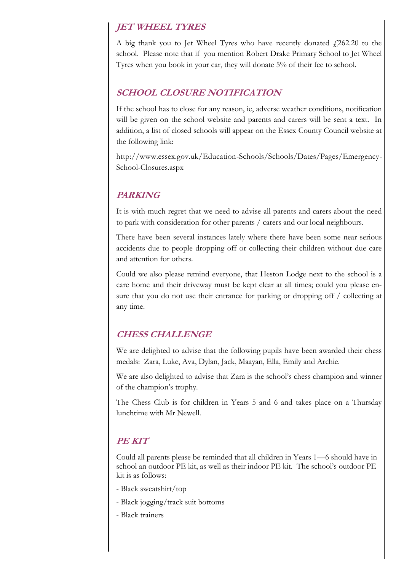### **JET WHEEL TYRES**

A big thank you to Jet Wheel Tyres who have recently donated  $\ell$ 262.20 to the school. Please note that if you mention Robert Drake Primary School to Jet Wheel Tyres when you book in your car, they will donate 5% of their fee to school.

### **SCHOOL CLOSURE NOTIFICATION**

If the school has to close for any reason, ie, adverse weather conditions, notification will be given on the school website and parents and carers will be sent a text. In addition, a list of closed schools will appear on the Essex County Council website at the following link:

http://www.essex.gov.uk/Education-Schools/Schools/Dates/Pages/Emergency-School-Closures.aspx

### **PARKING**

It is with much regret that we need to advise all parents and carers about the need to park with consideration for other parents / carers and our local neighbours.

There have been several instances lately where there have been some near serious accidents due to people dropping off or collecting their children without due care and attention for others.

Could we also please remind everyone, that Heston Lodge next to the school is a care home and their driveway must be kept clear at all times; could you please ensure that you do not use their entrance for parking or dropping off / collecting at any time.

### **CHESS CHALLENGE**

We are delighted to advise that the following pupils have been awarded their chess medals: Zara, Luke, Ava, Dylan, Jack, Maayan, Ella, Emily and Archie.

We are also delighted to advise that Zara is the school's chess champion and winner of the champion's trophy.

The Chess Club is for children in Years 5 and 6 and takes place on a Thursday lunchtime with Mr Newell.

### **PE KIT**

Could all parents please be reminded that all children in Years 1—6 should have in school an outdoor PE kit, as well as their indoor PE kit. The school's outdoor PE kit is as follows:

- Black sweatshirt/top
- Black jogging/track suit bottoms
- Black trainers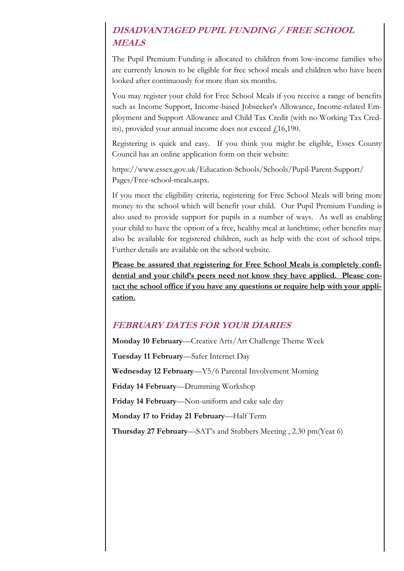## **DISADVANTAGED PUPIL FUNDING / FREE SCHOOL MEALS**

The Pupil Premium Funding is allocated to children from low-income families who are currently known to be eligible for free school meals and children who have been looked after continuously for more than six months.

You may register your child for Free School Meals if you receive a range of benefits such as Income Support, Income-based Jobseeker's Allowance, Income-related Employment and Support Allowance and Child Tax Credit (with no Working Tax Credits), provided your annual income does not exceed  $\text{\textsterling}16,190$ .

Registering is quick and easy. If you think you might be eligible, Essex County Council has an online application form on their website:

https://www.essex.gov.uk/Education-Schools/Schools/Pupil-Parent-Support/ Pages/Free-school-meals.aspx.

If you meet the eligibility criteria, registering for Free School Meals will bring more money to the school which will benefit your child. Our Pupil Premium Funding is also used to provide support for pupils in a number of ways. As well as enabling your child to have the option of a free, healthy meal at lunchtime, other benefits may also be available for registered children, such as help with the cost of school trips. Further details are available on the school website.

**Please be assured that registering for Free School Meals is completely confidential and your child's peers need not know they have applied. Please contact the school office if you have any questions or require help with your application.**

### **FEBRUARY DATES FOR YOUR DIARIES**

**Monday 10 February**—Creative Arts/Art Challenge Theme Week **Tuesday 11 February**—Safer Internet Day **Wednesday 12 February**—Y5/6 Parental Involvement Morning **Friday 14 February**—Drumming Workshop **Friday 14 February**—Non-uniform and cake sale day **Monday 17 to Friday 21 February**—Half Term **Thursday 27 February**—SAT's and Stubbers Meeting , 2.30 pm(Year 6)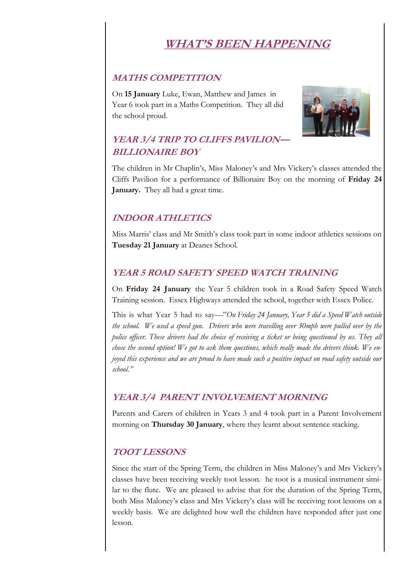# **WHAT'S BEEN HAPPENING**

### **MATHS COMPETITION**

On **15 January** Luke, Ewan, Matthew and James in Year 6 took part in a Maths Competition. They all did the school proud.



## **YEAR 3/4 TRIP TO CLIFFS PAVILION— BILLIONAIRE BOY**

The children in Mr Chaplin's, Miss Maloney's and Mrs Vickery's classes attended the Cliffs Pavilion for a performance of Billionaire Boy on the morning of **Friday 24 January.** They all had a great time.

## **INDOOR ATHLETICS**

Miss Marris' class and Mr Smith's class took part in some indoor athletics sessions on **Tuesday 21 January** at Deanes School.

### **YEAR 5 ROAD SAFETY SPEED WATCH TRAINING**

On **Friday 24 January** the Year 5 children took in a Road Safety Speed Watch Training session. Essex Highways attended the school, together with Essex Police.

This is what Year 5 had to say—"*On Friday 24 January, Year 5 did a Speed Watch outside the school. We used a speed gun. Drivers who were travelling over 30mph were pulled over by the police officer. These drivers had the choice of receiving a ticket or being questioned by us. They all chose the second option! We got to ask them questions, which really made the drivers think. We enjoyed this experience and we are proud to have made such a positive impact on road safety outside our school."*

### **YEAR 3/4 PARENT INVOLVEMENT MORNING**

Parents and Carers of children in Years 3 and 4 took part in a Parent Involvement morning on **Thursday 30 January**, where they learnt about sentence stacking.

### **TOOT LESSONS**

Since the start of the Spring Term, the children in Miss Maloney's and Mrs Vickery's classes have been receiving weekly toot lesson. he toot is a musical instrument similar to the flute. We are pleased to advise that for the duration of the Spring Term, both Miss Maloney's class and Mrs Vickery's class will be receiving toot lessons on a weekly basis. We are delighted how well the children have responded after just one lesson.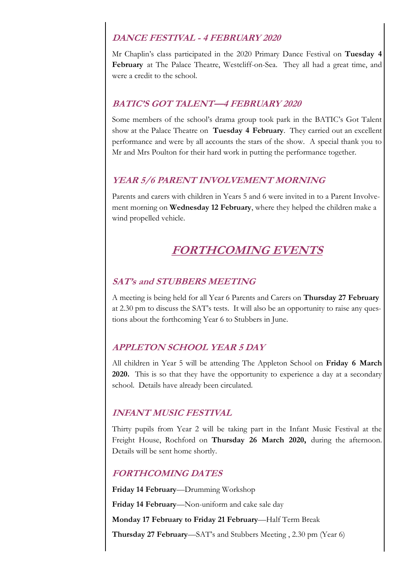### **DANCE FESTIVAL - 4 FEBRUARY 2020**

Mr Chaplin's class participated in the 2020 Primary Dance Festival on **Tuesday 4 February** at The Palace Theatre, Westcliff-on-Sea. They all had a great time, and were a credit to the school.

### **BATIC'S GOT TALENT—4 FEBRUARY 2020**

Some members of the school's drama group took park in the BATIC's Got Talent show at the Palace Theatre on **Tuesday 4 February**. They carried out an excellent performance and were by all accounts the stars of the show. A special thank you to Mr and Mrs Poulton for their hard work in putting the performance together.

### **YEAR 5/6 PARENT INVOLVEMENT MORNING**

Parents and carers with children in Years 5 and 6 were invited in to a Parent Involvement morning on **Wednesday 12 February**, where they helped the children make a wind propelled vehicle.

# **FORTHCOMING EVENTS**

### **SAT's and STUBBERS MEETING**

A meeting is being held for all Year 6 Parents and Carers on **Thursday 27 February**  at 2.30 pm to discuss the SAT's tests. It will also be an opportunity to raise any questions about the forthcoming Year 6 to Stubbers in June.

### **APPLETON SCHOOL YEAR 5 DAY**

All children in Year 5 will be attending The Appleton School on **Friday 6 March 2020.** This is so that they have the opportunity to experience a day at a secondary school. Details have already been circulated.

### **INFANT MUSIC FESTIVAL**

Thirty pupils from Year 2 will be taking part in the Infant Music Festival at the Freight House, Rochford on **Thursday 26 March 2020,** during the afternoon. Details will be sent home shortly.

### **FORTHCOMING DATES**

**Friday 14 February**—Drumming Workshop

**Friday 14 February**—Non-uniform and cake sale day

**Monday 17 February to Friday 21 February**—Half Term Break

**Thursday 27 February**—SAT's and Stubbers Meeting , 2.30 pm (Year 6)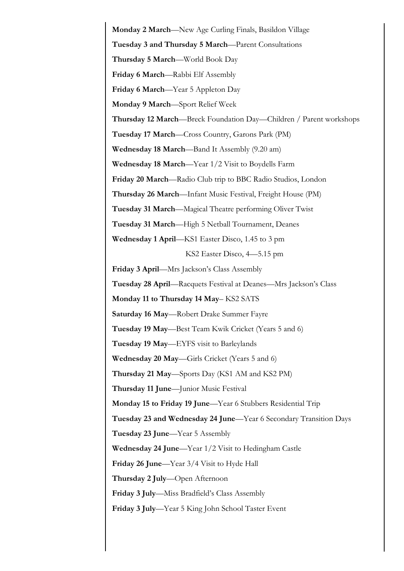**Monday 2 March**—New Age Curling Finals, Basildon Village **Tuesday 3 and Thursday 5 March**—Parent Consultations **Thursday 5 March**—World Book Day **Friday 6 March**—Rabbi Elf Assembly **Friday 6 March**—Year 5 Appleton Day **Monday 9 March**—Sport Relief Week **Thursday 12 March**—Breck Foundation Day—Children / Parent workshops **Tuesday 17 March**—Cross Country, Garons Park (PM) **Wednesday 18 March**—Band It Assembly (9.20 am) **Wednesday 18 March**—Year 1/2 Visit to Boydells Farm **Friday 20 March**—Radio Club trip to BBC Radio Studios, London **Thursday 26 March**—Infant Music Festival, Freight House (PM) **Tuesday 31 March**—Magical Theatre performing Oliver Twist **Tuesday 31 March**—High 5 Netball Tournament, Deanes **Wednesday 1 April**—KS1 Easter Disco, 1.45 to 3 pm KS2 Easter Disco, 4—5.15 pm **Friday 3 April**—Mrs Jackson's Class Assembly **Tuesday 28 April**—Racquets Festival at Deanes—Mrs Jackson's Class **Monday 11 to Thursday 14 May**– KS2 SATS **Saturday 16 May**—Robert Drake Summer Fayre **Tuesday 19 May**—Best Team Kwik Cricket (Years 5 and 6) **Tuesday 19 May**—EYFS visit to Barleylands **Wednesday 20 May**—Girls Cricket (Years 5 and 6) **Thursday 21 May**—Sports Day (KS1 AM and KS2 PM) **Thursday 11 June**—Junior Music Festival **Monday 15 to Friday 19 June**—Year 6 Stubbers Residential Trip **Tuesday 23 and Wednesday 24 June**—Year 6 Secondary Transition Days **Tuesday 23 June**—Year 5 Assembly **Wednesday 24 June**—Year 1/2 Visit to Hedingham Castle **Friday 26 June**—Year 3/4 Visit to Hyde Hall **Thursday 2 July**—Open Afternoon **Friday 3 July**—Miss Bradfield's Class Assembly **Friday 3 July**—Year 5 King John School Taster Event